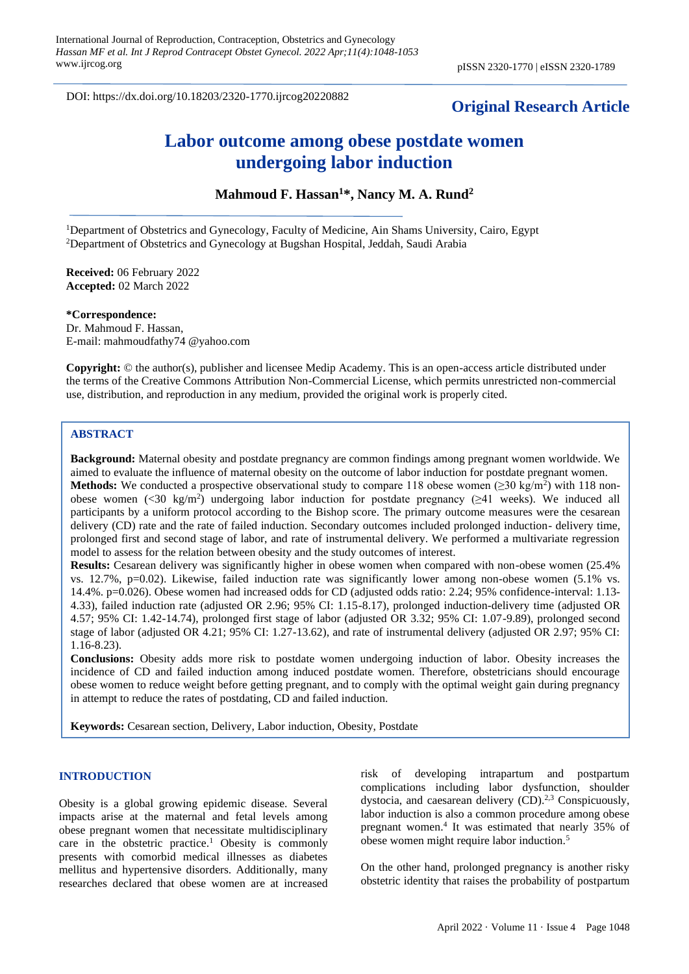DOI: https://dx.doi.org/10.18203/2320-1770.ijrcog20220882

# **Original Research Article**

# **Labor outcome among obese postdate women undergoing labor induction**

**Mahmoud F. Hassan<sup>1</sup>\*, Nancy M. A. Rund<sup>2</sup>**

<sup>1</sup>Department of Obstetrics and Gynecology, Faculty of Medicine, Ain Shams University, Cairo, Egypt <sup>2</sup>Department of Obstetrics and Gynecology at Bugshan Hospital, Jeddah, Saudi Arabia

**Received:** 06 February 2022 **Accepted:** 02 March 2022

**\*Correspondence:**

Dr. Mahmoud F. Hassan, E-mail: mahmoudfathy74 @yahoo.com

**Copyright:** © the author(s), publisher and licensee Medip Academy. This is an open-access article distributed under the terms of the Creative Commons Attribution Non-Commercial License, which permits unrestricted non-commercial use, distribution, and reproduction in any medium, provided the original work is properly cited.

#### **ABSTRACT**

**Background:** Maternal obesity and postdate pregnancy are common findings among pregnant women worldwide. We aimed to evaluate the influence of maternal obesity on the outcome of labor induction for postdate pregnant women. **Methods:** We conducted a prospective observational study to compare 118 obese women ( $\geq 30$  kg/m<sup>2</sup>) with 118 nonobese women  $\langle 30 \text{ kg/m}^2 \rangle$  undergoing labor induction for postdate pregnancy ( $\geq 41$  weeks). We induced all participants by a uniform protocol according to the Bishop score. The primary outcome measures were the cesarean delivery (CD) rate and the rate of failed induction. Secondary outcomes included prolonged induction- delivery time, prolonged first and second stage of labor, and rate of instrumental delivery. We performed a multivariate regression model to assess for the relation between obesity and the study outcomes of interest.

**Results:** Cesarean delivery was significantly higher in obese women when compared with non-obese women (25.4%) vs. 12.7%, p=0.02). Likewise, failed induction rate was significantly lower among non-obese women (5.1% vs. 14.4%. p=0.026). Obese women had increased odds for CD (adjusted odds ratio: 2.24; 95% confidence-interval: 1.13- 4.33), failed induction rate (adjusted OR 2.96; 95% CI: 1.15-8.17), prolonged induction-delivery time (adjusted OR 4.57; 95% CI: 1.42-14.74), prolonged first stage of labor (adjusted OR 3.32; 95% CI: 1.07-9.89), prolonged second stage of labor (adjusted OR 4.21; 95% CI: 1.27-13.62), and rate of instrumental delivery (adjusted OR 2.97; 95% CI: 1.16-8.23).

**Conclusions:** Obesity adds more risk to postdate women undergoing induction of labor. Obesity increases the incidence of CD and failed induction among induced postdate women. Therefore, obstetricians should encourage obese women to reduce weight before getting pregnant, and to comply with the optimal weight gain during pregnancy in attempt to reduce the rates of postdating, CD and failed induction.

**Keywords:** Cesarean section, Delivery, Labor induction, Obesity, Postdate

#### **INTRODUCTION**

Obesity is a global growing epidemic disease. Several impacts arise at the maternal and fetal levels among obese pregnant women that necessitate multidisciplinary care in the obstetric practice.<sup>1</sup> Obesity is commonly presents with comorbid medical illnesses as diabetes mellitus and hypertensive disorders. Additionally, many researches declared that obese women are at increased

risk of developing intrapartum and postpartum complications including labor dysfunction, shoulder dystocia, and caesarean delivery  $(CD)^{2,3}$  Conspicuously, labor induction is also a common procedure among obese pregnant women.<sup>4</sup> It was estimated that nearly 35% of obese women might require labor induction.<sup>5</sup>

On the other hand, prolonged pregnancy is another risky obstetric identity that raises the probability of postpartum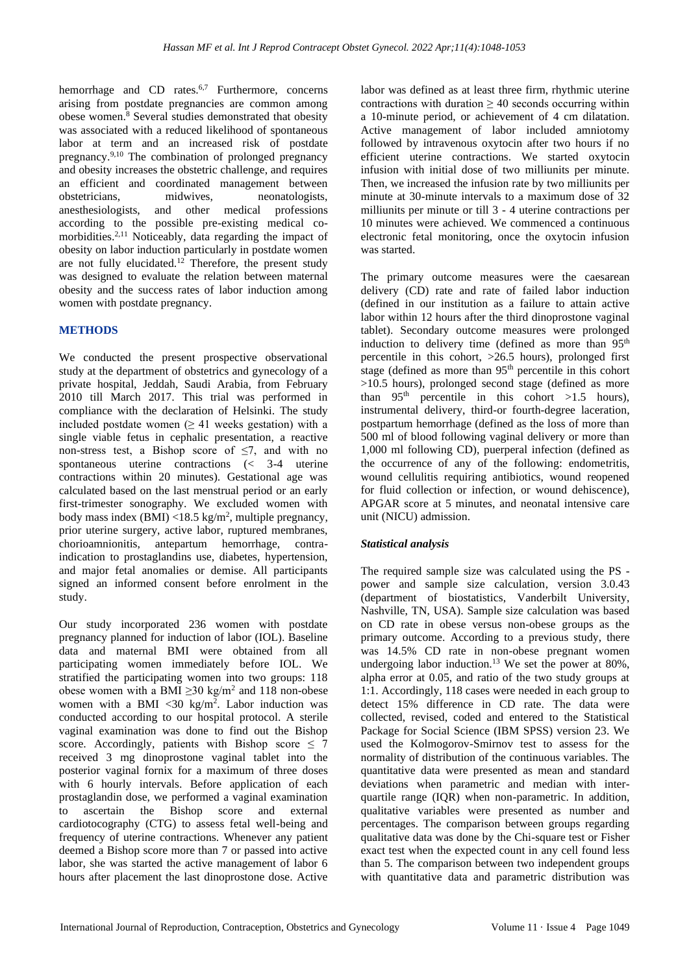hemorrhage and CD rates.<sup>6,7</sup> Furthermore, concerns arising from postdate pregnancies are common among obese women.<sup>8</sup> Several studies demonstrated that obesity was associated with a reduced likelihood of spontaneous labor at term and an increased risk of postdate pregnancy.9,10 The combination of prolonged pregnancy and obesity increases the obstetric challenge, and requires an efficient and coordinated management between obstetricians, midwives, neonatologists, anesthesiologists, and other medical professions according to the possible pre-existing medical comorbidities.<sup>2,11</sup> Noticeably, data regarding the impact of obesity on labor induction particularly in postdate women are not fully elucidated.<sup>12</sup> Therefore, the present study was designed to evaluate the relation between maternal obesity and the success rates of labor induction among women with postdate pregnancy.

### **METHODS**

We conducted the present prospective observational study at the department of obstetrics and gynecology of a private hospital, Jeddah, Saudi Arabia, from February 2010 till March 2017. This trial was performed in compliance with the declaration of Helsinki. The study included postdate women  $(≥ 41$  weeks gestation) with a single viable fetus in cephalic presentation, a reactive non-stress test, a Bishop score of  $\leq$ 7, and with no spontaneous uterine contractions (< 3-4 uterine contractions within 20 minutes). Gestational age was calculated based on the last menstrual period or an early first-trimester sonography. We excluded women with body mass index  $(BMI)$  <18.5 kg/m<sup>2</sup>, multiple pregnancy, prior uterine surgery, active labor, ruptured membranes, chorioamnionitis, antepartum hemorrhage, contraindication to prostaglandins use, diabetes, hypertension, and major fetal anomalies or demise. All participants signed an informed consent before enrolment in the study.

Our study incorporated 236 women with postdate pregnancy planned for induction of labor (IOL). Baseline data and maternal BMI were obtained from all participating women immediately before IOL. We stratified the participating women into two groups: 118 obese women with a BMI  $\geq$ 30 kg/m<sup>2</sup> and 118 non-obese women with a BMI <30 kg/m<sup>2</sup>. Labor induction was conducted according to our hospital protocol. A sterile vaginal examination was done to find out the Bishop score. Accordingly, patients with Bishop score  $\leq 7$ received 3 mg dinoprostone vaginal tablet into the posterior vaginal fornix for a maximum of three doses with 6 hourly intervals. Before application of each prostaglandin dose, we performed a vaginal examination to ascertain the Bishop score and external cardiotocography (CTG) to assess fetal well-being and frequency of uterine contractions. Whenever any patient deemed a Bishop score more than 7 or passed into active labor, she was started the active management of labor 6 hours after placement the last dinoprostone dose. Active labor was defined as at least three firm, rhythmic uterine contractions with duration  $\geq 40$  seconds occurring within a 10-minute period, or achievement of 4 cm dilatation. Active management of labor included amniotomy followed by intravenous oxytocin after two hours if no efficient uterine contractions. We started oxytocin infusion with initial dose of two milliunits per minute. Then, we increased the infusion rate by two milliunits per minute at 30-minute intervals to a maximum dose of 32 milliunits per minute or till 3 - 4 uterine contractions per 10 minutes were achieved. We commenced a continuous electronic fetal monitoring, once the oxytocin infusion was started.

The primary outcome measures were the caesarean delivery (CD) rate and rate of failed labor induction (defined in our institution as a failure to attain active labor within 12 hours after the third dinoprostone vaginal tablet). Secondary outcome measures were prolonged induction to delivery time (defined as more than 95<sup>th</sup> percentile in this cohort, >26.5 hours), prolonged first stage (defined as more than 95<sup>th</sup> percentile in this cohort >10.5 hours), prolonged second stage (defined as more than  $95<sup>th</sup>$  percentile in this cohort >1.5 hours), instrumental delivery, third-or fourth-degree laceration, postpartum hemorrhage (defined as the loss of more than 500 ml of blood following vaginal delivery or more than 1,000 ml following CD), puerperal infection (defined as the occurrence of any of the following: endometritis, wound cellulitis requiring antibiotics, wound reopened for fluid collection or infection, or wound dehiscence), APGAR score at 5 minutes, and neonatal intensive care unit (NICU) admission.

# *Statistical analysis*

The required sample size was calculated using the PS power and sample size calculation, version 3.0.43 (department of biostatistics, Vanderbilt University, Nashville, TN, USA). Sample size calculation was based on CD rate in obese versus non-obese groups as the primary outcome. According to a previous study, there was 14.5% CD rate in non-obese pregnant women undergoing labor induction.<sup>13</sup> We set the power at 80%, alpha error at 0.05, and ratio of the two study groups at 1:1. Accordingly, 118 cases were needed in each group to detect 15% difference in CD rate. The data were collected, revised, coded and entered to the Statistical Package for Social Science (IBM SPSS) version 23. We used the Kolmogorov-Smirnov test to assess for the normality of distribution of the continuous variables. The quantitative data were presented as mean and standard deviations when parametric and median with interquartile range (IQR) when non-parametric. In addition, qualitative variables were presented as number and percentages. The comparison between groups regarding qualitative data was done by the Chi-square test or Fisher exact test when the expected count in any cell found less than 5. The comparison between two independent groups with quantitative data and parametric distribution was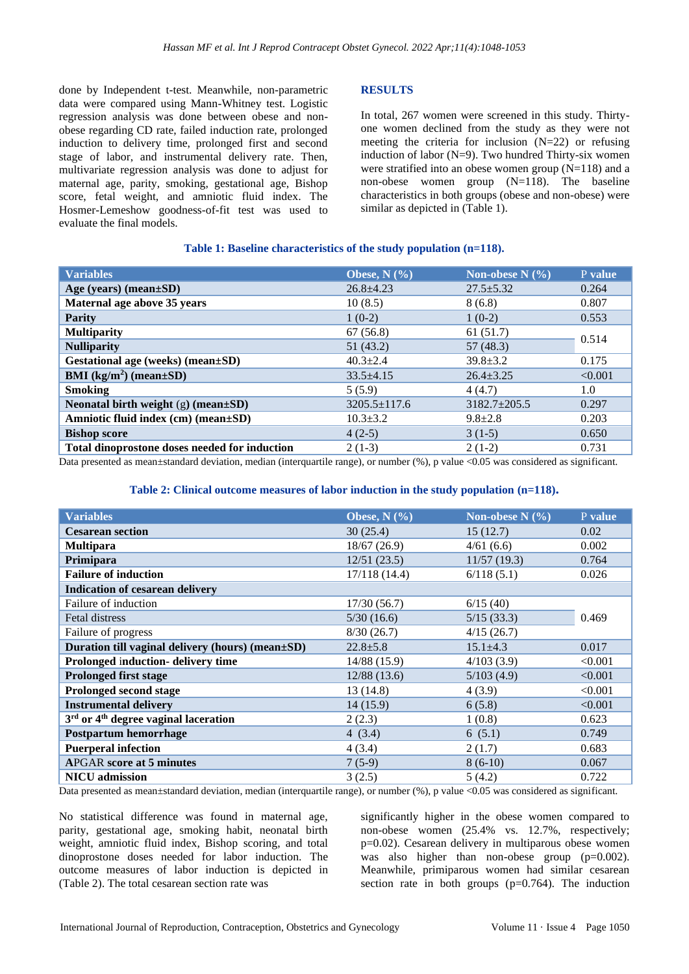done by Independent t-test. Meanwhile, non-parametric data were compared using Mann-Whitney test. Logistic regression analysis was done between obese and nonobese regarding CD rate, failed induction rate, prolonged induction to delivery time, prolonged first and second stage of labor, and instrumental delivery rate. Then, multivariate regression analysis was done to adjust for maternal age, parity, smoking, gestational age, Bishop score, fetal weight, and amniotic fluid index. The Hosmer-Lemeshow goodness-of-fit test was used to evaluate the final models.

# **RESULTS**

In total, 267 women were screened in this study. Thirtyone women declined from the study as they were not meeting the criteria for inclusion  $(N=22)$  or refusing induction of labor (N=9). Two hundred Thirty-six women were stratified into an obese women group (N=118) and a non-obese women group (N=118). The baseline characteristics in both groups (obese and non-obese) were similar as depicted in (Table 1).

#### **Table 1: Baseline characteristics of the study population (n=118).**

| <b>Variables</b>                              | Obese, $N$ (%)     | Non-obese N $(\% )$ | P value |
|-----------------------------------------------|--------------------|---------------------|---------|
| Age (years) (mean±SD)                         | $26.8 + 4.23$      | $27.5 \pm 5.32$     | 0.264   |
| Maternal age above 35 years                   | 10(8.5)            | 8(6.8)              | 0.807   |
| <b>Parity</b>                                 | $1(0-2)$           | $1(0-2)$            | 0.553   |
| <b>Multiparity</b>                            | 67(56.8)           | 61(51.7)            | 0.514   |
| <b>Nulliparity</b>                            | 51(43.2)           | 57(48.3)            |         |
| Gestational age (weeks) (mean±SD)             | $40.3 \pm 2.4$     | $39.8 \pm 3.2$      | 0.175   |
| BMI $(kg/m2)$ (mean $\pm SD$ )                | $33.5 + 4.15$      | $26.4 \pm 3.25$     | < 0.001 |
| <b>Smoking</b>                                | 5(5.9)             | 4(4.7)              | 1.0     |
| Neonatal birth weight $(g)$ (mean $\pm SD$ )  | $3205.5 \pm 117.6$ | $3182.7 \pm 205.5$  | 0.297   |
| Amniotic fluid index (cm) (mean±SD)           | $10.3 \pm 3.2$     | $9.8 \pm 2.8$       | 0.203   |
| <b>Bishop score</b>                           | $4(2-5)$           | $3(1-5)$            | 0.650   |
| Total dinoprostone doses needed for induction | $2(1-3)$           | $2(1-2)$            | 0.731   |

Data presented as mean±standard deviation, median (interquartile range), or number (%), p value <0.05 was considered as significant.

#### **Table 2: Clinical outcome measures of labor induction in the study population (n=118).**

| <b>Variables</b>                                 | Obese, N $(\frac{0}{0})$ | Non-obese $N$ (%) | P value |  |  |  |
|--------------------------------------------------|--------------------------|-------------------|---------|--|--|--|
| <b>Cesarean section</b>                          | 30(25.4)                 | 15(12.7)          | 0.02    |  |  |  |
| <b>Multipara</b>                                 | 18/67(26.9)              | 4/61(6.6)         | 0.002   |  |  |  |
| Primipara                                        | 12/51(23.5)              | 11/57(19.3)       | 0.764   |  |  |  |
| <b>Failure of induction</b>                      | 17/118 (14.4)            | 6/118(5.1)        | 0.026   |  |  |  |
| <b>Indication of cesarean delivery</b>           |                          |                   |         |  |  |  |
| Failure of induction                             | 17/30(56.7)              | 6/15(40)          |         |  |  |  |
| Fetal distress                                   | 5/30(16.6)               | 5/15(33.3)        | 0.469   |  |  |  |
| Failure of progress                              | 8/30(26.7)               | 4/15(26.7)        |         |  |  |  |
| Duration till vaginal delivery (hours) (mean±SD) | $22.8 + 5.8$             | $15.1 \pm 4.3$    | 0.017   |  |  |  |
| <b>Prolonged induction- delivery time</b>        | 14/88 (15.9)             | 4/103(3.9)        | < 0.001 |  |  |  |
| <b>Prolonged first stage</b>                     | 12/88(13.6)              | 5/103(4.9)        | < 0.001 |  |  |  |
| <b>Prolonged second stage</b>                    | 13(14.8)                 | 4(3.9)            | < 0.001 |  |  |  |
| <b>Instrumental delivery</b>                     | 14(15.9)                 | 6(5.8)            | < 0.001 |  |  |  |
| $3rd$ or $4th$ degree vaginal laceration         | 2(2.3)                   | 1(0.8)            | 0.623   |  |  |  |
| Postpartum hemorrhage                            | 4 $(3.4)$                | 6(5.1)            | 0.749   |  |  |  |
| <b>Puerperal infection</b>                       | 4(3.4)                   | 2(1.7)            | 0.683   |  |  |  |
| <b>APGAR</b> score at 5 minutes                  | $7(5-9)$                 | $8(6-10)$         | 0.067   |  |  |  |
| <b>NICU</b> admission                            | 3(2.5)                   | 5(4.2)            | 0.722   |  |  |  |

Data presented as mean±standard deviation, median (interquartile range), or number (%), p value <0.05 was considered as significant.

No statistical difference was found in maternal age, parity, gestational age, smoking habit, neonatal birth weight, amniotic fluid index, Bishop scoring, and total dinoprostone doses needed for labor induction. The outcome measures of labor induction is depicted in (Table 2). The total cesarean section rate was

significantly higher in the obese women compared to non-obese women (25.4% vs. 12.7%, respectively; p=0.02). Cesarean delivery in multiparous obese women was also higher than non-obese group (p=0.002). Meanwhile, primiparous women had similar cesarean section rate in both groups  $(p=0.764)$ . The induction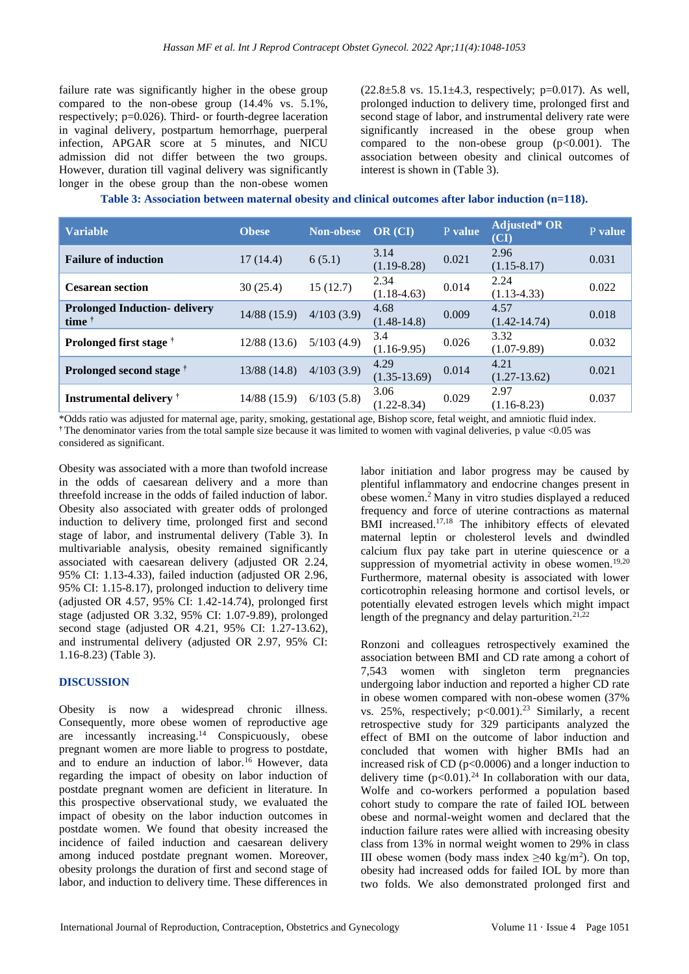failure rate was significantly higher in the obese group compared to the non-obese group (14.4% vs. 5.1%, respectively; p=0.026). Third- or fourth-degree laceration in vaginal delivery, postpartum hemorrhage, puerperal infection, APGAR score at 5 minutes, and NICU admission did not differ between the two groups. However, duration till vaginal delivery was significantly longer in the obese group than the non-obese women  $(22.8\pm5.8 \text{ vs. } 15.1\pm4.3, \text{ respectively}; \text{ p=0.017}).$  As well, prolonged induction to delivery time, prolonged first and second stage of labor, and instrumental delivery rate were significantly increased in the obese group when compared to the non-obese group  $(p<0.001)$ . The association between obesity and clinical outcomes of interest is shown in (Table 3).

| Table 3: Association between maternal obesity and clinical outcomes after labor induction (n=118). |  |  |  |  |  |
|----------------------------------------------------------------------------------------------------|--|--|--|--|--|
|                                                                                                    |  |  |  |  |  |

| <b>Variable</b>                                           | <b>Obese</b> | Non-obese  | OR (CI)                 | P value | Adjusted* OR<br>(CI)     | P value |
|-----------------------------------------------------------|--------------|------------|-------------------------|---------|--------------------------|---------|
| <b>Failure of induction</b>                               | 17(14.4)     | 6(5.1)     | 3.14<br>$(1.19 - 8.28)$ | 0.021   | 2.96<br>$(1.15 - 8.17)$  | 0.031   |
| <b>Cesarean section</b>                                   | 30(25.4)     | 15(12.7)   | 2.34<br>$(1.18-4.63)$   | 0.014   | 2.24<br>$(1.13 - 4.33)$  | 0.022   |
| <b>Prolonged Induction- delivery</b><br>time $^{\dagger}$ | 14/88 (15.9) | 4/103(3.9) | 4.68<br>$(1.48-14.8)$   | 0.009   | 4.57<br>$(1.42 - 14.74)$ | 0.018   |
| <b>Prolonged first stage</b>                              | 12/88 (13.6) | 5/103(4.9) | 3.4<br>$(1.16-9.95)$    | 0.026   | 3.32<br>$(1.07-9.89)$    | 0.032   |
| Prolonged second stage <sup>†</sup>                       | 13/88 (14.8) | 4/103(3.9) | 4.29<br>$(1.35-13.69)$  | 0.014   | 4.21<br>$(1.27-13.62)$   | 0.021   |
| <b>Instrumental delivery</b>                              | 14/88 (15.9) | 6/103(5.8) | 3.06<br>$(1.22 - 8.34)$ | 0.029   | 2.97<br>$(1.16 - 8.23)$  | 0.037   |

\*Odds ratio was adjusted for maternal age, parity, smoking, gestational age, Bishop score, fetal weight, and amniotic fluid index. **†** The denominator varies from the total sample size because it was limited to women with vaginal deliveries, p value <0.05 was considered as significant.

Obesity was associated with a more than twofold increase in the odds of caesarean delivery and a more than threefold increase in the odds of failed induction of labor. Obesity also associated with greater odds of prolonged induction to delivery time, prolonged first and second stage of labor, and instrumental delivery (Table 3). In multivariable analysis, obesity remained significantly associated with caesarean delivery (adjusted OR 2.24, 95% CI: 1.13-4.33), failed induction (adjusted OR 2.96, 95% CI: 1.15-8.17), prolonged induction to delivery time (adjusted OR 4.57, 95% CI: 1.42-14.74), prolonged first stage (adjusted OR 3.32, 95% CI: 1.07-9.89), prolonged second stage (adjusted OR 4.21, 95% CI: 1.27-13.62), and instrumental delivery (adjusted OR 2.97, 95% CI: 1.16-8.23) (Table 3).

#### **DISCUSSION**

Obesity is now a widespread chronic illness. Consequently, more obese women of reproductive age are incessantly increasing.<sup>14</sup> Conspicuously, obese pregnant women are more liable to progress to postdate, and to endure an induction of labor.<sup>16</sup> However, data regarding the impact of obesity on labor induction of postdate pregnant women are deficient in literature. In this prospective observational study, we evaluated the impact of obesity on the labor induction outcomes in postdate women. We found that obesity increased the incidence of failed induction and caesarean delivery among induced postdate pregnant women. Moreover, obesity prolongs the duration of first and second stage of labor, and induction to delivery time. These differences in labor initiation and labor progress may be caused by plentiful inflammatory and endocrine changes present in obese women.<sup>2</sup>Many in vitro studies displayed a reduced frequency and force of uterine contractions as maternal BMI increased.<sup>17,18</sup> The inhibitory effects of elevated maternal leptin or cholesterol levels and dwindled calcium flux pay take part in uterine quiescence or a suppression of myometrial activity in obese women.<sup>19,20</sup> Furthermore, maternal obesity is associated with lower corticotrophin releasing hormone and cortisol levels, or potentially elevated estrogen levels which might impact length of the pregnancy and delay parturition.<sup>21,22</sup>

Ronzoni and colleagues retrospectively examined the association between BMI and CD rate among a cohort of 7,543 women with singleton term pregnancies undergoing labor induction and reported a higher CD rate in obese women compared with non-obese women (37% vs. 25%, respectively;  $p<0.001$ ).<sup>23</sup> Similarly, a recent retrospective study for 329 participants analyzed the effect of BMI on the outcome of labor induction and concluded that women with higher BMIs had an increased risk of CD (p<0.0006) and a longer induction to delivery time  $(p<0.01)$ .<sup>24</sup> In collaboration with our data, Wolfe and co-workers performed a population based cohort study to compare the rate of failed IOL between obese and normal-weight women and declared that the induction failure rates were allied with increasing obesity class from 13% in normal weight women to 29% in class III obese women (body mass index  $\geq 40$  kg/m<sup>2</sup>). On top, obesity had increased odds for failed IOL by more than two folds. We also demonstrated prolonged first and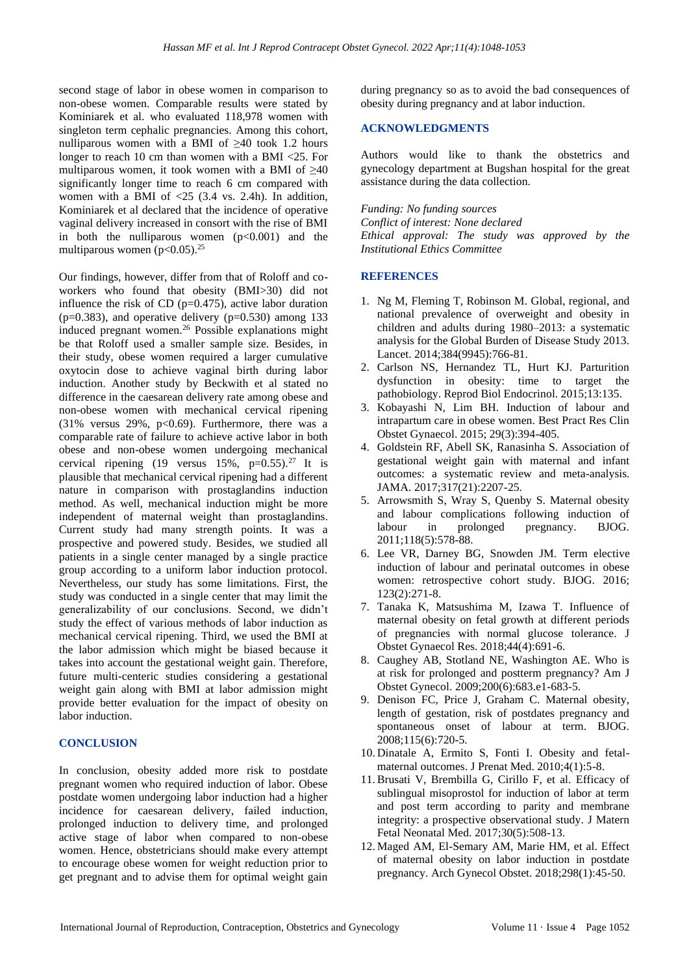second stage of labor in obese women in comparison to non-obese women. Comparable results were stated by Kominiarek et al. who evaluated 118,978 women with singleton term cephalic pregnancies. Among this cohort, nulliparous women with a BMI of  $\geq 40$  took 1.2 hours longer to reach 10 cm than women with a BMI <25. For multiparous women, it took women with a BMI of ≥40 significantly longer time to reach 6 cm compared with women with a BMI of  $\langle 25 (3.4 \text{ vs. } 2.4 \text{h})$ . In addition, Kominiarek et al declared that the incidence of operative vaginal delivery increased in consort with the rise of BMI in both the nulliparous women  $(p<0.001)$  and the multiparous women  $(p<0.05)$ .<sup>25</sup>

Our findings, however, differ from that of Roloff and coworkers who found that obesity (BMI>30) did not influence the risk of CD ( $p=0.475$ ), active labor duration ( $p=0.383$ ), and operative delivery ( $p=0.530$ ) among 133 induced pregnant women.<sup>26</sup> Possible explanations might be that Roloff used a smaller sample size. Besides, in their study, obese women required a larger cumulative oxytocin dose to achieve vaginal birth during labor induction. Another study by Beckwith et al stated no difference in the caesarean delivery rate among obese and non-obese women with mechanical cervical ripening (31% versus 29%, p<0.69). Furthermore, there was a comparable rate of failure to achieve active labor in both obese and non-obese women undergoing mechanical cervical ripening (19 versus  $15\%$ ,  $p=0.55$ ).<sup>27</sup> It is plausible that mechanical cervical ripening had a different nature in comparison with prostaglandins induction method. As well, mechanical induction might be more independent of maternal weight than prostaglandins. Current study had many strength points. It was a prospective and powered study. Besides, we studied all patients in a single center managed by a single practice group according to a uniform labor induction protocol. Nevertheless, our study has some limitations. First, the study was conducted in a single center that may limit the generalizability of our conclusions. Second, we didn't study the effect of various methods of labor induction as mechanical cervical ripening. Third, we used the BMI at the labor admission which might be biased because it takes into account the gestational weight gain. Therefore, future multi-centeric studies considering a gestational weight gain along with BMI at labor admission might provide better evaluation for the impact of obesity on labor induction.

# **CONCLUSION**

In conclusion, obesity added more risk to postdate pregnant women who required induction of labor. Obese postdate women undergoing labor induction had a higher incidence for caesarean delivery, failed induction, prolonged induction to delivery time, and prolonged active stage of labor when compared to non-obese women. Hence, obstetricians should make every attempt to encourage obese women for weight reduction prior to get pregnant and to advise them for optimal weight gain during pregnancy so as to avoid the bad consequences of obesity during pregnancy and at labor induction.

#### **ACKNOWLEDGMENTS**

Authors would like to thank the obstetrics and gynecology department at Bugshan hospital for the great assistance during the data collection.

*Funding: No funding sources Conflict of interest: None declared Ethical approval: The study was approved by the Institutional Ethics Committee*

#### **REFERENCES**

- 1. Ng M, Fleming T, Robinson M. Global, regional, and national prevalence of overweight and obesity in children and adults during 1980–2013: a systematic analysis for the Global Burden of Disease Study 2013. Lancet. 2014;384(9945):766-81.
- 2. Carlson NS, Hernandez TL, Hurt KJ. Parturition dysfunction in obesity: time to target the pathobiology. Reprod Biol Endocrinol. 2015;13:135.
- 3. Kobayashi N, Lim BH. Induction of labour and intrapartum care in obese women. Best Pract Res Clin Obstet Gynaecol. 2015; 29(3):394-405.
- 4. Goldstein RF, Abell SK, Ranasinha S. Association of gestational weight gain with maternal and infant outcomes: a systematic review and meta-analysis. JAMA. 2017;317(21):2207-25.
- 5. Arrowsmith S, Wray S, Quenby S. Maternal obesity and labour complications following induction of labour in prolonged pregnancy. BJOG. 2011;118(5):578-88.
- 6. Lee VR, Darney BG, Snowden JM. Term elective induction of labour and perinatal outcomes in obese women: retrospective cohort study. BJOG. 2016; 123(2):271-8.
- 7. Tanaka K, Matsushima M, Izawa T. Influence of maternal obesity on fetal growth at different periods of pregnancies with normal glucose tolerance. J Obstet Gynaecol Res. 2018;44(4):691-6.
- 8. Caughey AB, Stotland NE, Washington AE. Who is at risk for prolonged and postterm pregnancy? Am J Obstet Gynecol. 2009;200(6):683.e1-683-5.
- 9. Denison FC, Price J, Graham C. Maternal obesity, length of gestation, risk of postdates pregnancy and spontaneous onset of labour at term. BJOG. 2008;115(6):720-5.
- 10. Dinatale A, Ermito S, Fonti I. Obesity and fetalmaternal outcomes. J Prenat Med. 2010;4(1):5-8.
- 11.Brusati V, Brembilla G, Cirillo F, et al. Efficacy of sublingual misoprostol for induction of labor at term and post term according to parity and membrane integrity: a prospective observational study. J Matern Fetal Neonatal Med. 2017;30(5):508-13.
- 12. Maged AM, El-Semary AM, Marie HM, et al. Effect of maternal obesity on labor induction in postdate pregnancy. Arch Gynecol Obstet. 2018;298(1):45-50.